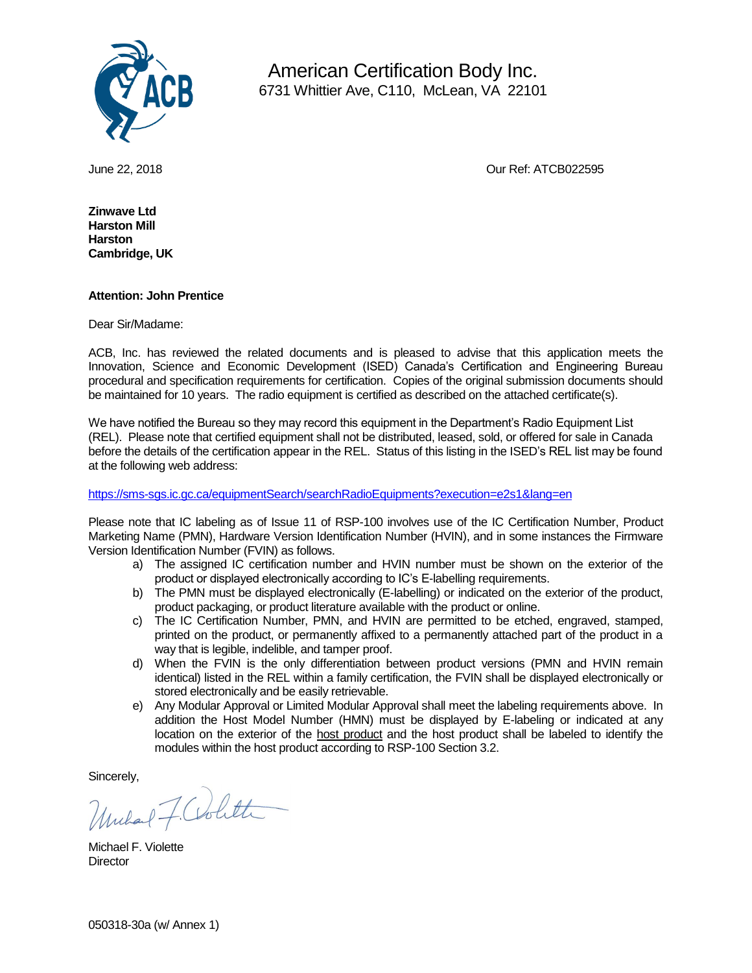

 American Certification Body Inc. 6731 Whittier Ave, C110, McLean, VA 22101

June 22, 2018 Our Ref: ATCB022595

**Zinwave Ltd Harston Mill Harston Cambridge, UK**

## **Attention: John Prentice**

Dear Sir/Madame:

ACB, Inc. has reviewed the related documents and is pleased to advise that this application meets the Innovation, Science and Economic Development (ISED) Canada's Certification and Engineering Bureau procedural and specification requirements for certification. Copies of the original submission documents should be maintained for 10 years. The radio equipment is certified as described on the attached certificate(s).

We have notified the Bureau so they may record this equipment in the Department's Radio Equipment List (REL). Please note that certified equipment shall not be distributed, leased, sold, or offered for sale in Canada before the details of the certification appear in the REL. Status of this listing in the ISED's REL list may be found at the following web address:

<https://sms-sgs.ic.gc.ca/equipmentSearch/searchRadioEquipments?execution=e2s1&lang=en>

Please note that IC labeling as of Issue 11 of RSP-100 involves use of the IC Certification Number, Product Marketing Name (PMN), Hardware Version Identification Number (HVIN), and in some instances the Firmware Version Identification Number (FVIN) as follows.

- a) The assigned IC certification number and HVIN number must be shown on the exterior of the product or displayed electronically according to IC's E-labelling requirements.
- b) The PMN must be displayed electronically (E-labelling) or indicated on the exterior of the product, product packaging, or product literature available with the product or online.
- c) The IC Certification Number, PMN, and HVIN are permitted to be etched, engraved, stamped, printed on the product, or permanently affixed to a permanently attached part of the product in a way that is legible, indelible, and tamper proof.
- d) When the FVIN is the only differentiation between product versions (PMN and HVIN remain identical) listed in the REL within a family certification, the FVIN shall be displayed electronically or stored electronically and be easily retrievable.
- e) Any Modular Approval or Limited Modular Approval shall meet the labeling requirements above. In addition the Host Model Number (HMN) must be displayed by E-labeling or indicated at any location on the exterior of the host product and the host product shall be labeled to identify the modules within the host product according to RSP-100 Section 3.2.

Sincerely,

Uniland F. Colitte

Michael F. Violette **Director**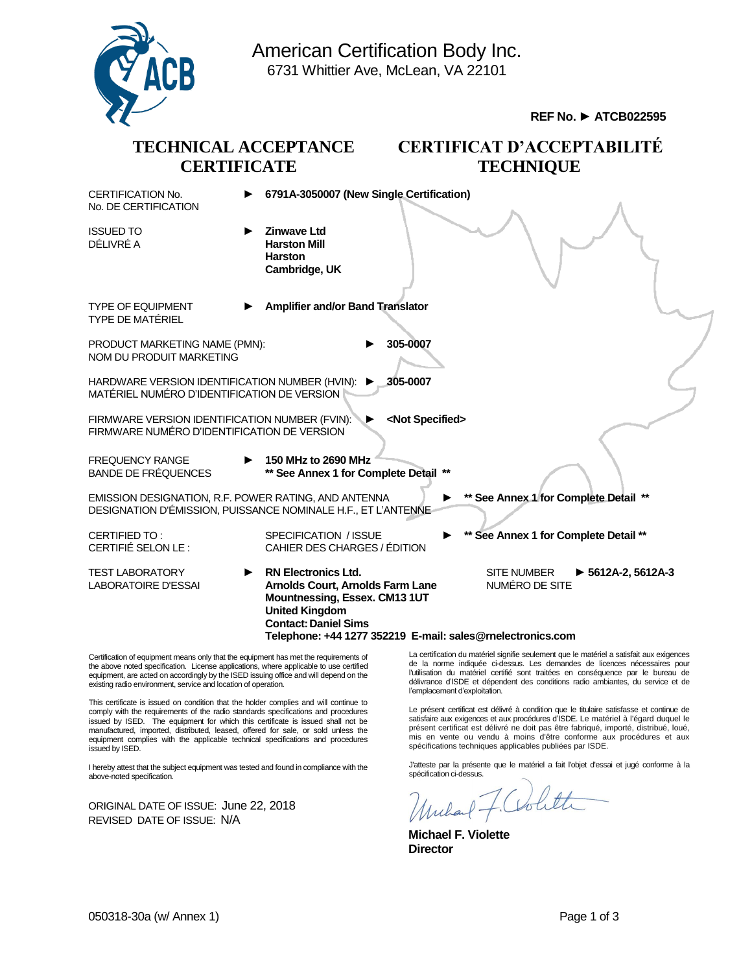

Certification of equipment means only that the equipment has met the requirements of the above noted specification. License applications, where applicable to use certified equipment, are acted on accordingly by the ISED issuing office and will depend on the existing radio environment, service and location of operation.

This certificate is issued on condition that the holder complies and will continue to comply with the requirements of the radio standards specifications and procedures issued by ISED. The equipment for which this certificate is issued shall not be manufactured, imported, distributed, leased, offered for sale, or sold unless the equipment complies with the applicable technical specifications and procedures issued by ISED.

I hereby attest that the subject equipment was tested and found in compliance with the above-noted specification.

ORIGINAL DATE OF ISSUE: June 22, 2018 REVISED DATE OF ISSUE: N/A

La certification du matériel signifie seulement que le matériel a satisfait aux exigences de la norme indiquée ci-dessus. Les demandes de licences nécessaires pour l'utilisation du matériel certifié sont traitées en conséquence par le bureau de délivrance d'ISDE et dépendent des conditions radio ambiantes, du service et de l'emplacement d'exploitation.

Le présent certificat est délivré à condition que le titulaire satisfasse et continue de satisfaire aux exigences et aux procédures d'ISDE. Le matériel à l'égard duquel le présent certificat est délivré ne doit pas être fabriqué, importé, distribué, loué, mis en vente ou vendu à moins d'être conforme aux procédures et aux spécifications techniques applicables publiées par ISDE.

J'atteste par la présente que le matériel a fait l'objet d'essai et jugé conforme à la spécification ci-dessus.

**Michael F. Violette Director**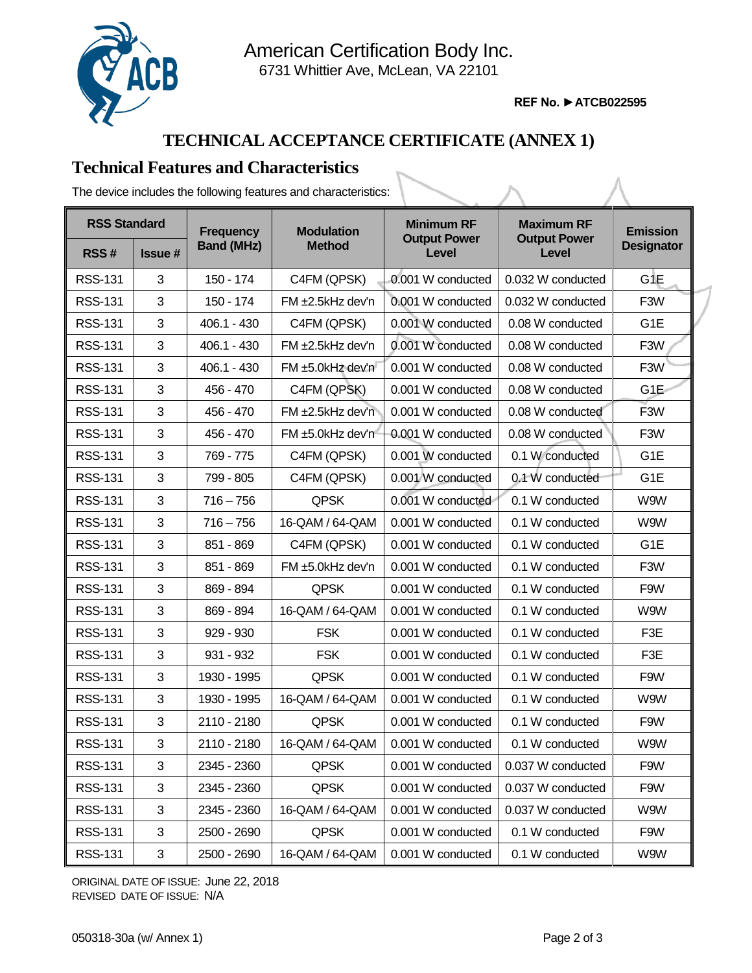

American Certification Body Inc. 6731 Whittier Ave, McLean, VA 22101

**REF No. ►ATCB022595**

## **TECHNICAL ACCEPTANCE CERTIFICATE (ANNEX 1)**

## **Technical Features and Characteristics**

The device includes the following features and characteristics:

| <b>RSS Standard</b> |               | <b>Frequency</b>  | <b>Modulation</b>      | <b>Minimum RF</b>            | <b>Maximum RF</b>            | <b>Emission</b>   |
|---------------------|---------------|-------------------|------------------------|------------------------------|------------------------------|-------------------|
| RSS#                | <b>Issue#</b> | <b>Band (MHz)</b> | <b>Method</b>          | <b>Output Power</b><br>Level | <b>Output Power</b><br>Level | <b>Designator</b> |
| <b>RSS-131</b>      | 3             | 150 - 174         | C4FM (QPSK)            | 0.001 W conducted            | 0.032 W conducted            | G1E               |
| <b>RSS-131</b>      | 3             | 150 - 174         | $FM \pm 2.5kHz$ dev'n  | 0.001 W conducted            | 0.032 W conducted            | F <sub>3</sub> W  |
| <b>RSS-131</b>      | 3             | 406.1 - 430       | C4FM (QPSK)            | 0.001 W conducted            | 0.08 W conducted             | G1E               |
| <b>RSS-131</b>      | 3             | $406.1 - 430$     | $FM \pm 2.5$ kHz dev'n | 0.001 W conducted            | 0.08 W conducted             | F <sub>3</sub> W  |
| <b>RSS-131</b>      | 3             | $406.1 - 430$     | FM ±5.0kHz dev'n       | 0.001 W conducted            | 0.08 W conducted             | F3W               |
| <b>RSS-131</b>      | 3             | 456 - 470         | C4FM (QPSK)            | 0.001 W conducted            | 0.08 W conducted             | G1E               |
| <b>RSS-131</b>      | 3             | 456 - 470         | FM ±2.5kHz dev'n       | 0.001 W conducted            | 0.08 W conducted             | F3W               |
| <b>RSS-131</b>      | 3             | 456 - 470         | $FM \pm 5.0$ kHz dev'n | 0.001 W conducted            | 0.08 W conducted             | F <sub>3</sub> W  |
| <b>RSS-131</b>      | 3             | 769 - 775         | C4FM (QPSK)            | 0.001 W conducted            | 0.1 W conducted              | G <sub>1</sub> E  |
| <b>RSS-131</b>      | 3             | 799 - 805         | C4FM (QPSK)            | 0.001 W conducted            | 0.1 W conducted              | G1E               |
| <b>RSS-131</b>      | 3             | $716 - 756$       | <b>QPSK</b>            | 0.001 W conducted            | 0.1 W conducted              | W9W               |
| <b>RSS-131</b>      | 3             | $716 - 756$       | 16-QAM / 64-QAM        | 0.001 W conducted            | 0.1 W conducted              | W9W               |
| <b>RSS-131</b>      | 3             | 851 - 869         | C4FM (QPSK)            | 0.001 W conducted            | 0.1 W conducted              | G <sub>1</sub> E  |
| <b>RSS-131</b>      | 3             | 851 - 869         | FM ±5.0kHz dev'n       | 0.001 W conducted            | 0.1 W conducted              | F3W               |
| <b>RSS-131</b>      | 3             | 869 - 894         | <b>QPSK</b>            | 0.001 W conducted            | 0.1 W conducted              | F9W               |
| <b>RSS-131</b>      | 3             | 869 - 894         | 16-QAM / 64-QAM        | 0.001 W conducted            | 0.1 W conducted              | W9W               |
| <b>RSS-131</b>      | 3             | $929 - 930$       | <b>FSK</b>             | 0.001 W conducted            | 0.1 W conducted              | F3E               |
| <b>RSS-131</b>      | 3             | $931 - 932$       | <b>FSK</b>             | 0.001 W conducted            | 0.1 W conducted              | F3E               |
| <b>RSS-131</b>      | 3             | 1930 - 1995       | <b>QPSK</b>            | 0.001 W conducted            | 0.1 W conducted              | F9W               |
| <b>RSS-131</b>      | 3             | 1930 - 1995       | 16-QAM / 64-QAM        | 0.001 W conducted            | 0.1 W conducted              | W9W               |
| <b>RSS-131</b>      | 3             | 2110 - 2180       | <b>QPSK</b>            | 0.001 W conducted            | 0.1 W conducted              | F9W               |
| <b>RSS-131</b>      | 3             | 2110 - 2180       | 16-QAM / 64-QAM        | 0.001 W conducted            | 0.1 W conducted              | W9W               |
| <b>RSS-131</b>      | 3             | 2345 - 2360       | <b>QPSK</b>            | 0.001 W conducted            | 0.037 W conducted            | F9W               |
| <b>RSS-131</b>      | 3             | 2345 - 2360       | <b>QPSK</b>            | 0.001 W conducted            | 0.037 W conducted            | F9W               |
| <b>RSS-131</b>      | 3             | 2345 - 2360       | 16-QAM / 64-QAM        | 0.001 W conducted            | 0.037 W conducted            | W9W               |
| <b>RSS-131</b>      | 3             | 2500 - 2690       | <b>QPSK</b>            | 0.001 W conducted            | 0.1 W conducted              | F9W               |
| <b>RSS-131</b>      | 3             | 2500 - 2690       | 16-QAM / 64-QAM        | 0.001 W conducted            | 0.1 W conducted              | W9W               |

ORIGINAL DATE OF ISSUE: June 22, 2018 REVISED DATE OF ISSUE: N/A